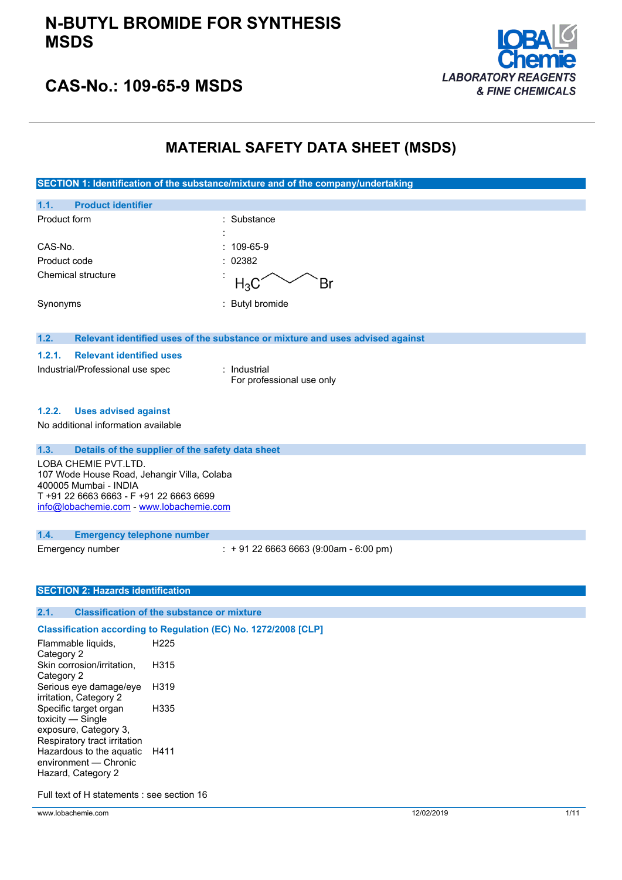## **N-BUTYL BROMIDE FOR SYNTHESIS MSDS**



# **CAS-No.: 109-65-9 MSDS**

### **MATERIAL SAFETY DATA SHEET (MSDS)**

**SECTION 1: Identification of the substance/mixture and of the company/undertaking**

| 1.1.         | <b>Product identifier</b> |                     |                 |
|--------------|---------------------------|---------------------|-----------------|
| Product form |                           |                     | : Substance     |
|              |                           | ٠<br>$\blacksquare$ |                 |
| CAS-No.      |                           |                     | $: 109-65-9$    |
| Product code |                           |                     | : 02382         |
|              | Chemical structure        |                     | $H_3C^2$        |
| Synonyms     |                           |                     | : Butyl bromide |

#### **1.2. Relevant identified uses of the substance or mixture and uses advised against**

#### **1.2.1. Relevant identified uses**

| Industrial/Professional use spec | : Industrial              |
|----------------------------------|---------------------------|
|                                  | For professional use only |

#### **1.2.2. Uses advised against**

No additional information available

#### **1.3. Details of the supplier of the safety data sheet**

LOBA CHEMIE PVT.LTD. 107 Wode House Road, Jehangir Villa, Colaba 400005 Mumbai - INDIA T +91 22 6663 6663 - F +91 22 6663 6699 [info@lobachemie.com](mailto:info@lobachemie.com) - <www.lobachemie.com>

#### **1.4. Emergency telephone number**

Emergency number : + 91 22 6663 6663 (9:00am - 6:00 pm)

#### **SECTION 2: Hazards identification**

#### **2.1. Classification of the substance or mixture**

#### **Classification according to Regulation (EC) No. 1272/2008 [CLP]**

Flammable liquids, Category 2 H225 Skin corrosion/irritation, Category 2 H315 Serious eye damage/eye irritation, Category 2 H319 Specific target organ toxicity — Single exposure, Category 3, Respiratory tract irritation H335 Hazardous to the aquatic environment — Chronic Hazard, Category 2 H411

Full text of H statements : see section 16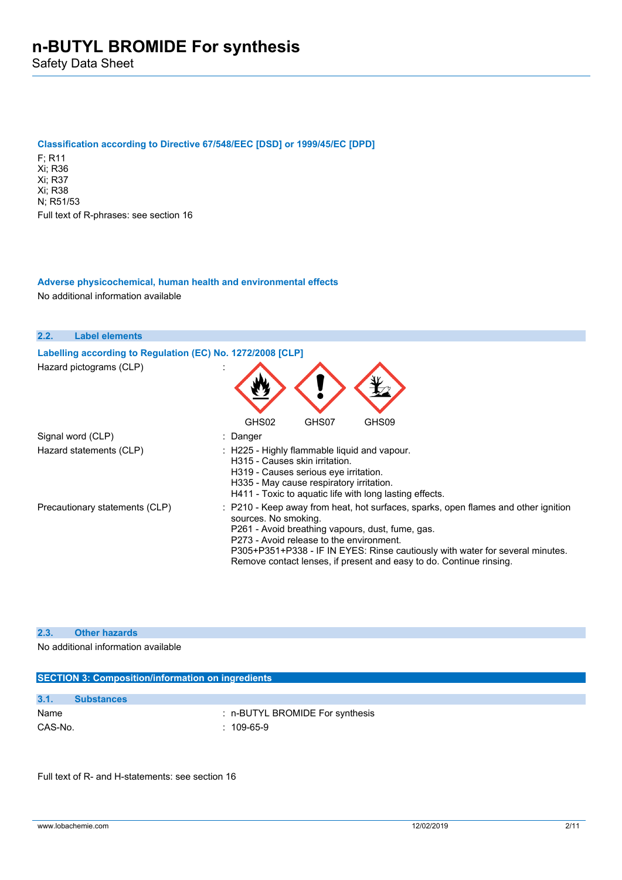Safety Data Sheet

#### **Classification according to Directive 67/548/EEC [DSD] or 1999/45/EC [DPD]**

F; R11 Xi; R36 Xi; R37 Xi; R38 N; R51/53 Full text of R-phrases: see section 16

### **Adverse physicochemical, human health and environmental effects** No additional information available

| 2.2.<br><b>Label elements</b>                              |                                                                                                                                                                                                                                                                                                                                                                    |
|------------------------------------------------------------|--------------------------------------------------------------------------------------------------------------------------------------------------------------------------------------------------------------------------------------------------------------------------------------------------------------------------------------------------------------------|
| Labelling according to Regulation (EC) No. 1272/2008 [CLP] |                                                                                                                                                                                                                                                                                                                                                                    |
| Hazard pictograms (CLP)                                    |                                                                                                                                                                                                                                                                                                                                                                    |
|                                                            | GHS02<br>GHS07<br>GHS09                                                                                                                                                                                                                                                                                                                                            |
| Signal word (CLP)                                          | : Danger                                                                                                                                                                                                                                                                                                                                                           |
| Hazard statements (CLP)                                    | $\therefore$ H225 - Highly flammable liquid and vapour.<br>H315 - Causes skin irritation.<br>H319 - Causes serious eye irritation.<br>H335 - May cause respiratory irritation.<br>H411 - Toxic to aguatic life with long lasting effects.                                                                                                                          |
| Precautionary statements (CLP)                             | : P210 - Keep away from heat, hot surfaces, sparks, open flames and other ignition<br>sources. No smoking.<br>P261 - Avoid breathing vapours, dust, fume, gas.<br>P273 - Avoid release to the environment.<br>P305+P351+P338 - IF IN EYES: Rinse cautiously with water for several minutes.<br>Remove contact lenses, if present and easy to do. Continue rinsing. |

### **2.3. Other hazards**

No additional information available

|         | <b>SECTION 3: Composition/information on ingredients</b> |  |  |  |
|---------|----------------------------------------------------------|--|--|--|
|         |                                                          |  |  |  |
| 3.1.    | <b>Substances</b>                                        |  |  |  |
| Name    | : n-BUTYL BROMIDE For synthesis                          |  |  |  |
| CAS-No. | $: 109-65-9$                                             |  |  |  |

Full text of R- and H-statements: see section 16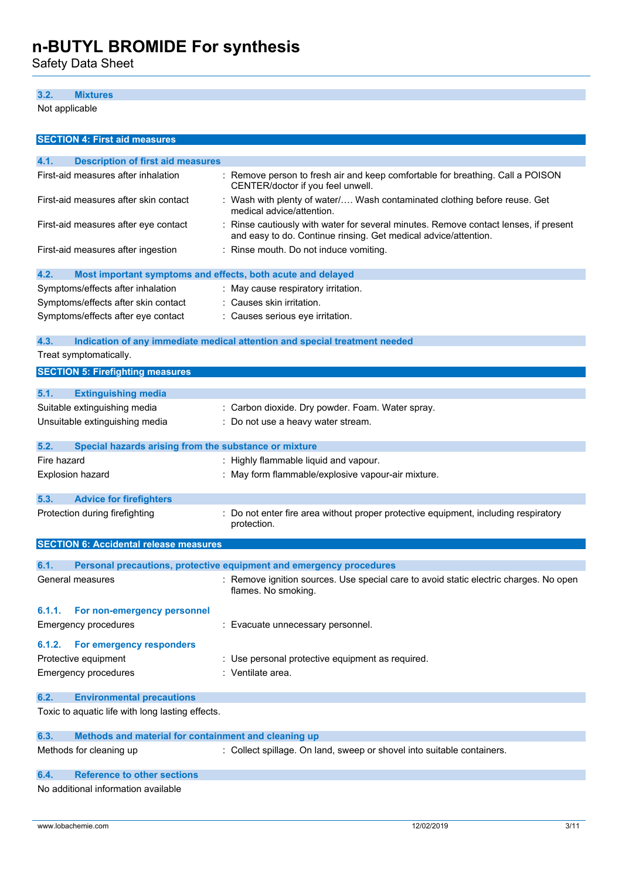Safety Data Sheet

### **3.2. Mixtures**

Not applicable

| <b>SECTION 4: First aid measures</b>                                |                                                                                                                                                         |  |  |
|---------------------------------------------------------------------|---------------------------------------------------------------------------------------------------------------------------------------------------------|--|--|
| 4.1.<br><b>Description of first aid measures</b>                    |                                                                                                                                                         |  |  |
| First-aid measures after inhalation                                 | : Remove person to fresh air and keep comfortable for breathing. Call a POISON<br>CENTER/doctor if you feel unwell.                                     |  |  |
| First-aid measures after skin contact                               | : Wash with plenty of water/ Wash contaminated clothing before reuse. Get<br>medical advice/attention.                                                  |  |  |
| First-aid measures after eye contact                                | : Rinse cautiously with water for several minutes. Remove contact lenses, if present<br>and easy to do. Continue rinsing. Get medical advice/attention. |  |  |
| First-aid measures after ingestion                                  | : Rinse mouth. Do not induce vomiting.                                                                                                                  |  |  |
| 4.2.<br>Most important symptoms and effects, both acute and delayed |                                                                                                                                                         |  |  |
| Symptoms/effects after inhalation                                   | : May cause respiratory irritation.                                                                                                                     |  |  |
| Symptoms/effects after skin contact                                 | : Causes skin irritation.                                                                                                                               |  |  |
| Symptoms/effects after eye contact                                  | : Causes serious eye irritation.                                                                                                                        |  |  |
| 4.3.                                                                | Indication of any immediate medical attention and special treatment needed                                                                              |  |  |
| Treat symptomatically.                                              |                                                                                                                                                         |  |  |
| <b>SECTION 5: Firefighting measures</b>                             |                                                                                                                                                         |  |  |
| 5.1.<br><b>Extinguishing media</b>                                  |                                                                                                                                                         |  |  |
| Suitable extinguishing media                                        | : Carbon dioxide. Dry powder. Foam. Water spray.                                                                                                        |  |  |
| Unsuitable extinguishing media                                      | : Do not use a heavy water stream.                                                                                                                      |  |  |
| 5.2.<br>Special hazards arising from the substance or mixture       |                                                                                                                                                         |  |  |
| Fire hazard                                                         | : Highly flammable liquid and vapour.                                                                                                                   |  |  |
| <b>Explosion hazard</b>                                             | : May form flammable/explosive vapour-air mixture.                                                                                                      |  |  |
| 5.3.<br><b>Advice for firefighters</b>                              |                                                                                                                                                         |  |  |
| Protection during firefighting                                      | : Do not enter fire area without proper protective equipment, including respiratory<br>protection.                                                      |  |  |
| <b>SECTION 6: Accidental release measures</b>                       |                                                                                                                                                         |  |  |
| 6.1.                                                                | Personal precautions, protective equipment and emergency procedures                                                                                     |  |  |
| General measures                                                    | : Remove ignition sources. Use special care to avoid static electric charges. No open                                                                   |  |  |
|                                                                     | flames. No smoking.                                                                                                                                     |  |  |
| For non-emergency personnel<br>6.1.1.                               |                                                                                                                                                         |  |  |
| <b>Emergency procedures</b>                                         | : Evacuate unnecessary personnel.                                                                                                                       |  |  |
| For emergency responders<br>6.1.2.                                  |                                                                                                                                                         |  |  |
| Protective equipment                                                | : Use personal protective equipment as required.                                                                                                        |  |  |
| <b>Emergency procedures</b>                                         | : Ventilate area.                                                                                                                                       |  |  |
| 6.2.<br><b>Environmental precautions</b>                            |                                                                                                                                                         |  |  |
| Toxic to aquatic life with long lasting effects.                    |                                                                                                                                                         |  |  |
| Methods and material for containment and cleaning up<br>6.3.        |                                                                                                                                                         |  |  |
| Methods for cleaning up                                             | : Collect spillage. On land, sweep or shovel into suitable containers.                                                                                  |  |  |
| <b>Reference to other sections</b><br>6.4.                          |                                                                                                                                                         |  |  |
| No additional information available                                 |                                                                                                                                                         |  |  |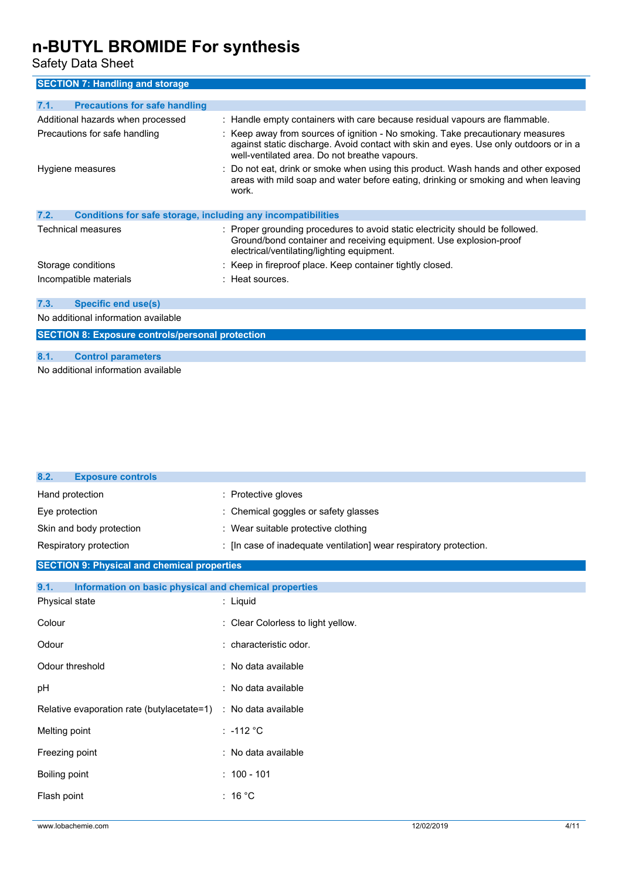Safety Data Sheet

**SECTION 7: Handling and storage**

| 7.1.<br><b>Precautions for safe handling</b>                         |                                                                                                                                                                                                                          |  |
|----------------------------------------------------------------------|--------------------------------------------------------------------------------------------------------------------------------------------------------------------------------------------------------------------------|--|
| Additional hazards when processed                                    | : Handle empty containers with care because residual vapours are flammable.                                                                                                                                              |  |
| Precautions for safe handling                                        | : Keep away from sources of ignition - No smoking. Take precautionary measures<br>against static discharge. Avoid contact with skin and eyes. Use only outdoors or in a<br>well-ventilated area. Do not breathe vapours. |  |
| Hygiene measures                                                     | : Do not eat, drink or smoke when using this product. Wash hands and other exposed<br>areas with mild soap and water before eating, drinking or smoking and when leaving<br>work.                                        |  |
| 7.2.<br>Conditions for safe storage, including any incompatibilities |                                                                                                                                                                                                                          |  |
| Technical measures                                                   | : Proper grounding procedures to avoid static electricity should be followed.<br>Ground/bond container and receiving equipment. Use explosion-proof<br>electrical/ventilating/lighting equipment.                        |  |
| Storage conditions                                                   | : Keep in fireproof place. Keep container tightly closed.                                                                                                                                                                |  |
| Incompatible materials                                               | $\pm$ Heat sources.                                                                                                                                                                                                      |  |
| <b>Specific end use(s)</b><br>7.3.                                   |                                                                                                                                                                                                                          |  |
| No additional information available                                  |                                                                                                                                                                                                                          |  |
| <b>SECTION 8: Exposure controls/personal protection</b>              |                                                                                                                                                                                                                          |  |

### **8.1. Control parameters**

No additional information available

| 8.2.<br><b>Exposure controls</b>                              |                                                                    |
|---------------------------------------------------------------|--------------------------------------------------------------------|
| Hand protection                                               | : Protective gloves                                                |
| Eye protection                                                | : Chemical goggles or safety glasses                               |
| Skin and body protection                                      | : Wear suitable protective clothing                                |
| Respiratory protection                                        | : [In case of inadequate ventilation] wear respiratory protection. |
| <b>SECTION 9: Physical and chemical properties</b>            |                                                                    |
| 9.1.<br>Information on basic physical and chemical properties |                                                                    |
| Physical state                                                | $:$ Liquid                                                         |
| Colour                                                        | : Clear Colorless to light yellow.                                 |
| Odour                                                         | : characteristic odor.                                             |
| Odour threshold                                               | : No data available                                                |
| pH                                                            | : No data available                                                |
| Relative evaporation rate (butylacetate=1)                    | : No data available                                                |
| Melting point                                                 | $: -112 °C$                                                        |
| Freezing point                                                | : No data available                                                |
| Boiling point                                                 | $: 100 - 101$                                                      |
| Flash point                                                   | : 16 °C                                                            |
|                                                               |                                                                    |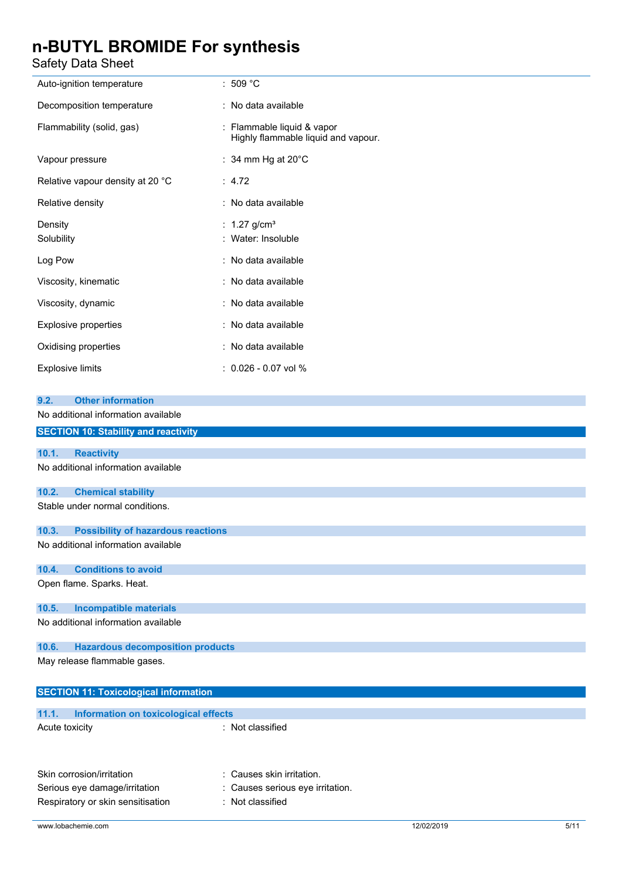Safety Data Sheet

| odicty Data Oncet                                  |                                                                   |  |  |
|----------------------------------------------------|-------------------------------------------------------------------|--|--|
| Auto-ignition temperature                          | :509 °C                                                           |  |  |
| Decomposition temperature                          | : No data available                                               |  |  |
| Flammability (solid, gas)                          | : Flammable liquid & vapor<br>Highly flammable liquid and vapour. |  |  |
| Vapour pressure                                    | : 34 mm Hg at $20^{\circ}$ C                                      |  |  |
| Relative vapour density at 20 °C                   | : $4.72$                                                          |  |  |
| Relative density                                   | : No data available                                               |  |  |
| Density<br>Solubility                              | $1.27$ g/cm <sup>3</sup><br>: Water: Insoluble                    |  |  |
| Log Pow                                            | No data available                                                 |  |  |
| Viscosity, kinematic                               | : No data available                                               |  |  |
| Viscosity, dynamic                                 | : No data available                                               |  |  |
| <b>Explosive properties</b>                        | : No data available                                               |  |  |
| Oxidising properties                               | : No data available                                               |  |  |
| <b>Explosive limits</b>                            | : 0.026 - 0.07 vol %                                              |  |  |
| <b>Other information</b><br>9.2.                   |                                                                   |  |  |
| No additional information available                |                                                                   |  |  |
| <b>SECTION 10: Stability and reactivity</b>        |                                                                   |  |  |
| 10.1.<br><b>Reactivity</b>                         |                                                                   |  |  |
| No additional information available                |                                                                   |  |  |
| 10.2.<br><b>Chemical stability</b>                 |                                                                   |  |  |
| Stable under normal conditions.                    |                                                                   |  |  |
| 10.3.<br><b>Possibility of hazardous reactions</b> |                                                                   |  |  |
| No additional information available                |                                                                   |  |  |
| <b>Conditions to avoid</b><br>10.4.                |                                                                   |  |  |
| Open flame. Sparks. Heat.                          |                                                                   |  |  |
| <b>Incompatible materials</b><br>10.5.             |                                                                   |  |  |
| No additional information available                |                                                                   |  |  |
| <b>Hazardous decomposition products</b><br>10.6.   |                                                                   |  |  |
| May release flammable gases.                       |                                                                   |  |  |
| <b>SECTION 11: Toxicological information</b>       |                                                                   |  |  |
| 11.1.<br>Information on toxicological effects      |                                                                   |  |  |
| Acute toxicity                                     | : Not classified                                                  |  |  |
|                                                    |                                                                   |  |  |
| Skin corrosion/irritation                          | Causes skin irritation.                                           |  |  |
|                                                    |                                                                   |  |  |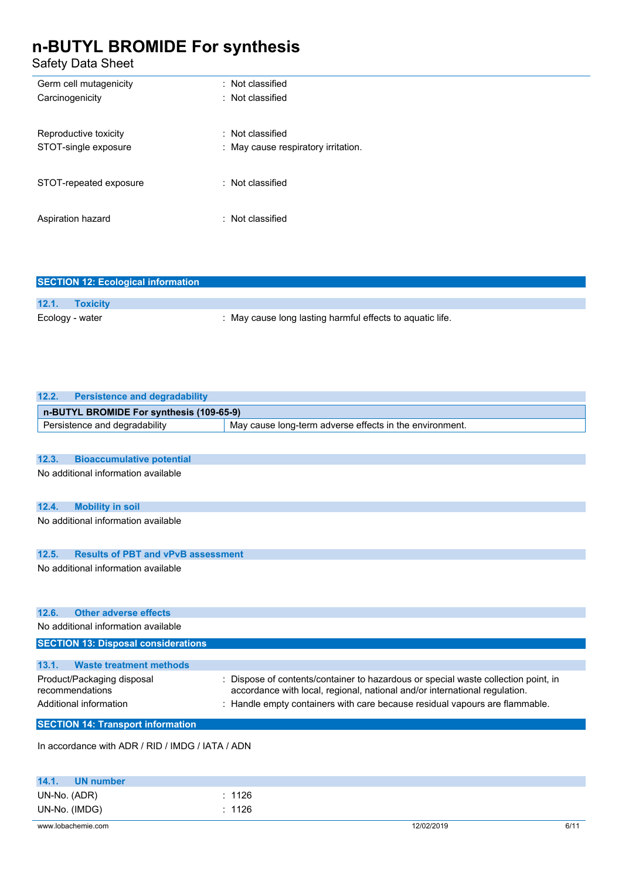Safety Data Sheet

| : Not classified                    |
|-------------------------------------|
| $\therefore$ Not classified         |
|                                     |
| $\therefore$ Not classified         |
| : May cause respiratory irritation. |
|                                     |
| $:$ Not classified                  |
|                                     |
| $\therefore$ Not classified         |
|                                     |
|                                     |

| <b>SECTION 12: Ecological information</b> |                                                           |  |  |
|-------------------------------------------|-----------------------------------------------------------|--|--|
|                                           |                                                           |  |  |
| 12.1.<br><b>Toxicity</b>                  |                                                           |  |  |
| Ecology - water                           | : May cause long lasting harmful effects to aquatic life. |  |  |

| <b>Persistence and degradability</b><br>12.2.      |                                                                                                                                                                  |  |  |
|----------------------------------------------------|------------------------------------------------------------------------------------------------------------------------------------------------------------------|--|--|
| n-BUTYL BROMIDE For synthesis (109-65-9)           |                                                                                                                                                                  |  |  |
| Persistence and degradability                      | May cause long-term adverse effects in the environment.                                                                                                          |  |  |
|                                                    |                                                                                                                                                                  |  |  |
| 12.3.<br><b>Bioaccumulative potential</b>          |                                                                                                                                                                  |  |  |
| No additional information available                |                                                                                                                                                                  |  |  |
|                                                    |                                                                                                                                                                  |  |  |
| 12.4.<br><b>Mobility in soil</b>                   |                                                                                                                                                                  |  |  |
| No additional information available                |                                                                                                                                                                  |  |  |
|                                                    |                                                                                                                                                                  |  |  |
|                                                    |                                                                                                                                                                  |  |  |
| <b>Results of PBT and vPvB assessment</b><br>12.5. |                                                                                                                                                                  |  |  |
| No additional information available                |                                                                                                                                                                  |  |  |
|                                                    |                                                                                                                                                                  |  |  |
|                                                    |                                                                                                                                                                  |  |  |
| <b>Other adverse effects</b><br>12.6.              |                                                                                                                                                                  |  |  |
| No additional information available                |                                                                                                                                                                  |  |  |
| <b>SECTION 13: Disposal considerations</b>         |                                                                                                                                                                  |  |  |
|                                                    |                                                                                                                                                                  |  |  |
| 13.1.<br><b>Waste treatment methods</b>            |                                                                                                                                                                  |  |  |
| Product/Packaging disposal<br>recommendations      | : Dispose of contents/container to hazardous or special waste collection point, in<br>accordance with local, regional, national and/or international regulation. |  |  |
| Additional information                             |                                                                                                                                                                  |  |  |
|                                                    | : Handle empty containers with care because residual vapours are flammable.                                                                                      |  |  |
| <b>SECTION 14: Transport information</b>           |                                                                                                                                                                  |  |  |
| In accordance with ADR / RID / IMDG / IATA / ADN   |                                                                                                                                                                  |  |  |
|                                                    |                                                                                                                                                                  |  |  |
|                                                    |                                                                                                                                                                  |  |  |
| 14.1.<br><b>UN number</b>                          |                                                                                                                                                                  |  |  |
| UN-No. (ADR)                                       | : 1126                                                                                                                                                           |  |  |

www.lobachemie.com 6/11

UN-No. (IMDG) : 1126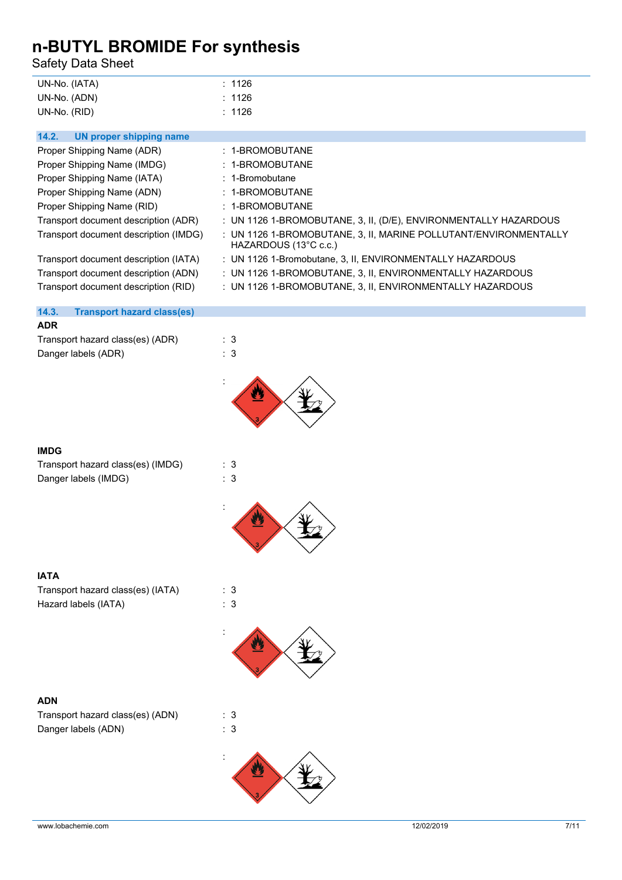Safety Data Sheet

| UN-No. (IATA) | : 1126 |
|---------------|--------|
| UN-No. (ADN)  | : 1126 |
| UN-No. (RID)  | : 1126 |

| : UN 1126 1-BROMOBUTANE, 3, II, MARINE POLLUTANT/ENVIRONMENTALLY |
|------------------------------------------------------------------|

### **14.3. Transport hazard class(es)**

### **ADR**

Transport hazard class(es) (ADR) : 3 Danger labels (ADR) : 3



:



### **IMDG**

| Transport hazard class(es) (IMDG) | : 3 |
|-----------------------------------|-----|
| Danger labels (IMDG)              | : 3 |





| <b>IATA</b>                       |     |
|-----------------------------------|-----|
| Transport hazard class(es) (IATA) | : 3 |
| Hazard labels (IATA)              | : 3 |



#### **ADN**

| Transport hazard class(es) (ADN) | : 3 |  |
|----------------------------------|-----|--|
| Danger labels (ADN)              | : 3 |  |

:

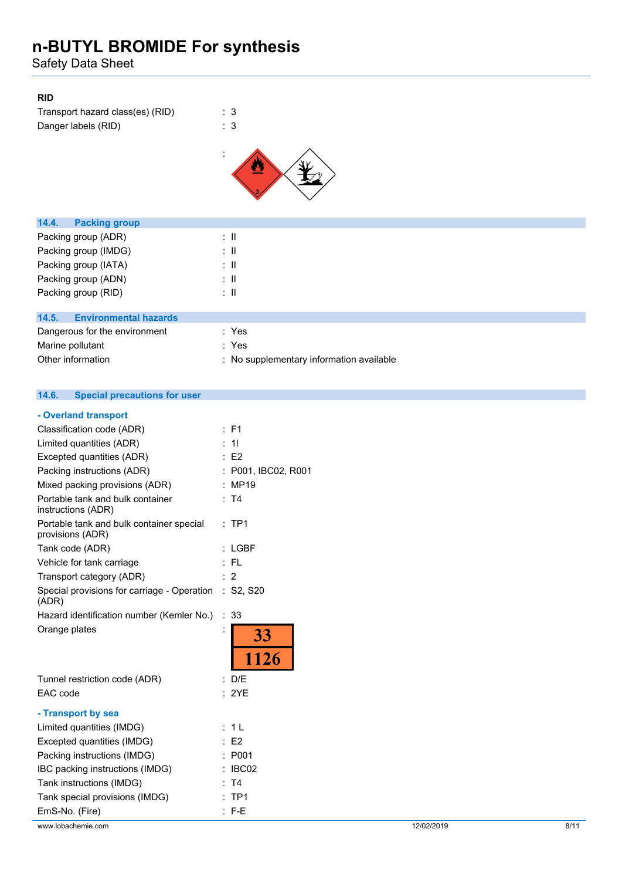Safety Data Sheet

### **RID**

| Transport hazard class(es) (RID) | : 3 |
|----------------------------------|-----|
| Danger labels (RID)              | : 3 |





| <b>Packing group</b><br>14.4.         |                                          |
|---------------------------------------|------------------------------------------|
| Packing group (ADR)                   | ÷Ш                                       |
| Packing group (IMDG)                  | ÷Ш                                       |
| Packing group (IATA)                  | ÷Ш                                       |
| Packing group (ADN)                   | ÷Ш                                       |
| Packing group (RID)                   | ÷Ш                                       |
|                                       |                                          |
| 14.5.<br><b>Environmental hazards</b> |                                          |
| Dangerous for the environment         | : Yes                                    |
| Marine pollutant                      | : Yes                                    |
| Other information                     | : No supplementary information available |

#### $14.6.$ **14.6. Special precautions for user**

| - Overland transport                                           |                     |            |      |
|----------------------------------------------------------------|---------------------|------------|------|
| Classification code (ADR)                                      | : F1                |            |      |
| Limited quantities (ADR)                                       | : 11                |            |      |
| Excepted quantities (ADR)                                      | $\therefore$ E2     |            |      |
| Packing instructions (ADR)                                     | : P001, IBC02, R001 |            |      |
| Mixed packing provisions (ADR)                                 | : MP19              |            |      |
| Portable tank and bulk container<br>instructions (ADR)         | : T4                |            |      |
| Portable tank and bulk container special<br>provisions (ADR)   | $:$ TP1             |            |      |
| Tank code (ADR)                                                | $:$ LGBF            |            |      |
| Vehicle for tank carriage                                      | :FL                 |            |      |
| Transport category (ADR)                                       | $\therefore$ 2      |            |      |
| Special provisions for carriage - Operation : S2, S20<br>(ADR) |                     |            |      |
| Hazard identification number (Kemler No.)                      | : 33                |            |      |
| Orange plates                                                  | 33<br>1126          |            |      |
| Tunnel restriction code (ADR)                                  | : D/E               |            |      |
| EAC code                                                       | : 2YE               |            |      |
| - Transport by sea                                             |                     |            |      |
| Limited quantities (IMDG)                                      | : 1L                |            |      |
| Excepted quantities (IMDG)                                     | $\therefore$ E2     |            |      |
| Packing instructions (IMDG)                                    | : P <sub>001</sub>  |            |      |
| IBC packing instructions (IMDG)                                | : IBC02             |            |      |
| Tank instructions (IMDG)                                       | : T4                |            |      |
| Tank special provisions (IMDG)                                 | $:$ TP1             |            |      |
| EmS-No. (Fire)                                                 | $: F-E$             |            |      |
| www.lobachemie.com                                             |                     | 12/02/2019 | 8/11 |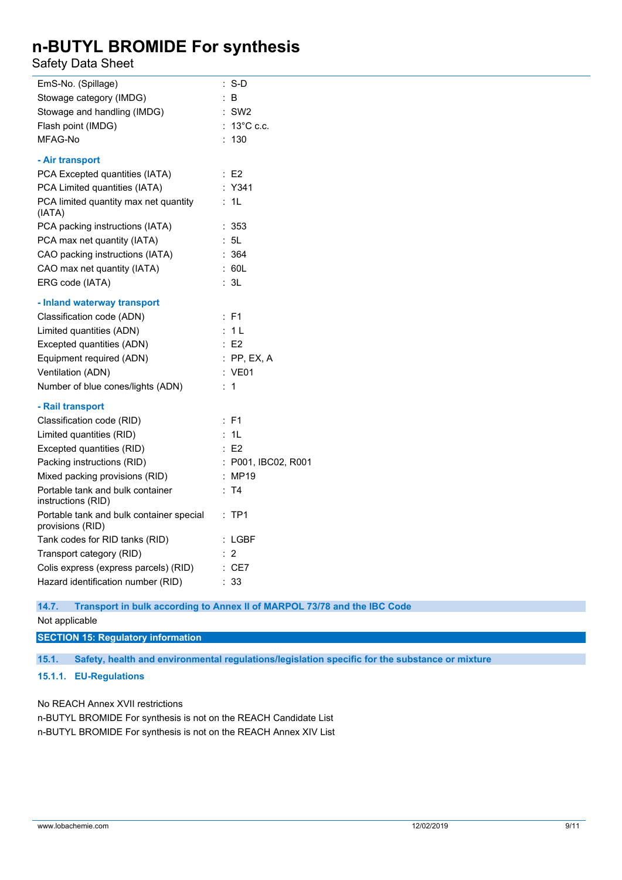Safety Data Sheet

| EmS-No. (Spillage)                                           | $: S-D$                                                                  |
|--------------------------------------------------------------|--------------------------------------------------------------------------|
| Stowage category (IMDG)                                      | $\therefore$ B                                                           |
| Stowage and handling (IMDG)                                  | $:$ SW2                                                                  |
| Flash point (IMDG)                                           | : 13°C c.c.                                                              |
| MFAG-No                                                      | : 130                                                                    |
| - Air transport                                              |                                                                          |
| PCA Excepted quantities (IATA)                               | $\therefore$ E2                                                          |
| PCA Limited quantities (IATA)                                | : Y341                                                                   |
| PCA limited quantity max net quantity<br>(IATA)              | : 1L                                                                     |
| PCA packing instructions (IATA)                              | :353                                                                     |
| PCA max net quantity (IATA)                                  | : 5L                                                                     |
| CAO packing instructions (IATA)                              | : 364                                                                    |
| CAO max net quantity (IATA)                                  | : 60L                                                                    |
| ERG code (IATA)                                              | : 3L                                                                     |
| - Inland waterway transport                                  |                                                                          |
| Classification code (ADN)                                    | $E$ F1                                                                   |
| Limited quantities (ADN)                                     | : 1L                                                                     |
| Excepted quantities (ADN)                                    | $\therefore$ E2                                                          |
| Equipment required (ADN)                                     | $:$ PP, EX, A                                                            |
| Ventilation (ADN)                                            | : VE01                                                                   |
| Number of blue cones/lights (ADN)                            | : 1                                                                      |
| - Rail transport                                             |                                                                          |
| Classification code (RID)                                    | $E$ F1                                                                   |
| Limited quantities (RID)                                     | : 1L                                                                     |
| Excepted quantities (RID)                                    | $\therefore$ E2                                                          |
| Packing instructions (RID)                                   | : P001, IBC02, R001                                                      |
| Mixed packing provisions (RID)                               | : MP19                                                                   |
| Portable tank and bulk container<br>instructions (RID)       | : T4                                                                     |
| Portable tank and bulk container special<br>provisions (RID) | $:$ TP1                                                                  |
| Tank codes for RID tanks (RID)                               | $:$ LGBF                                                                 |
| Transport category (RID)                                     | $\therefore$ 2                                                           |
| Colis express (express parcels) (RID)                        | $\therefore$ CE7                                                         |
| Hazard identification number (RID)                           | : 33                                                                     |
| 14.7.                                                        | Transport in bulk according to Annex II of MARPOL 73/78 and the IBC Code |
|                                                              |                                                                          |

Not applicable

**SECTION 15: Regulatory information**

**15.1. Safety, health and environmental regulations/legislation specific for the substance or mixture**

### **15.1.1. EU-Regulations**

No REACH Annex XVII restrictions

n-BUTYL BROMIDE For synthesis is not on the REACH Candidate List n-BUTYL BROMIDE For synthesis is not on the REACH Annex XIV List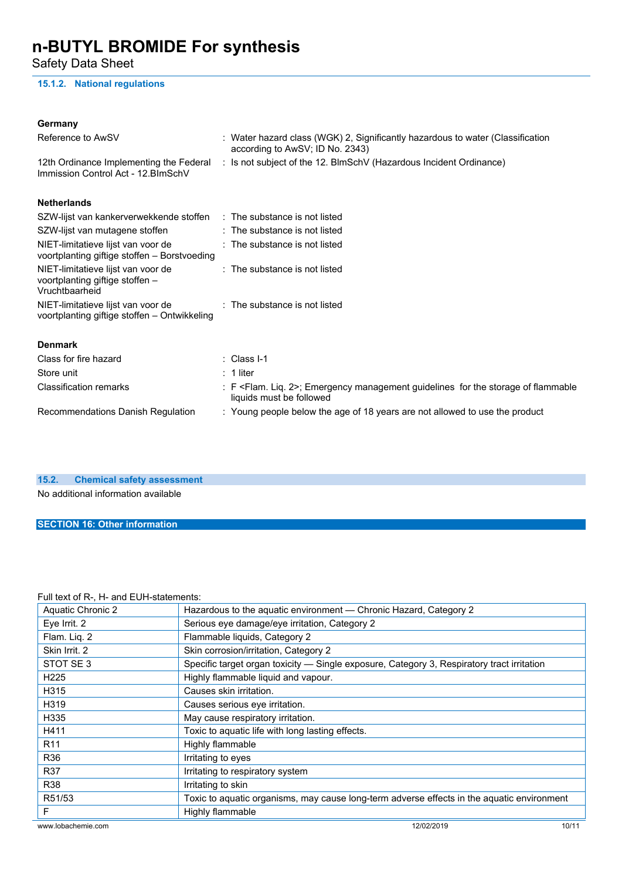Safety Data Sheet

### **15.1.2. National regulations**

| Germany                                                                                 |                                                                                                                             |
|-----------------------------------------------------------------------------------------|-----------------------------------------------------------------------------------------------------------------------------|
| Reference to AwSV                                                                       | : Water hazard class (WGK) 2, Significantly hazardous to water (Classification<br>according to AwSV; ID No. 2343)           |
| 12th Ordinance Implementing the Federal<br>Immission Control Act - 12. BlmSchV          | : Is not subject of the 12. BlmSchV (Hazardous Incident Ordinance)                                                          |
| <b>Netherlands</b>                                                                      |                                                                                                                             |
| SZW-lijst van kankerverwekkende stoffen                                                 | : The substance is not listed                                                                                               |
| SZW-lijst van mutagene stoffen                                                          | $:$ The substance is not listed                                                                                             |
| NIET-limitatieve lijst van voor de<br>voortplanting giftige stoffen - Borstvoeding      | : The substance is not listed                                                                                               |
| NIET-limitatieve lijst van voor de<br>voortplanting giftige stoffen -<br>Vruchtbaarheid | : The substance is not listed                                                                                               |
| NIET-limitatieve lijst van voor de<br>voortplanting giftige stoffen - Ontwikkeling      | : The substance is not listed                                                                                               |
| <b>Denmark</b>                                                                          |                                                                                                                             |
| Class for fire hazard                                                                   | $\therefore$ Class I-1                                                                                                      |
| Store unit                                                                              | $: 1$ liter                                                                                                                 |
| <b>Classification remarks</b>                                                           | : F <flam. 2="" liq.="">; Emergency management guidelines for the storage of flammable<br/>liquids must be followed</flam.> |
| Recommendations Danish Regulation                                                       | : Young people below the age of 18 years are not allowed to use the product                                                 |
|                                                                                         |                                                                                                                             |

**15.2. Chemical safety assessment**

No additional information available

### **SECTION 16: Other information**

#### Full text of R-, H- and EUH-statements:

| all text of it, it and Lorr statements. |                                                                                            |  |
|-----------------------------------------|--------------------------------------------------------------------------------------------|--|
| Aquatic Chronic 2                       | Hazardous to the aquatic environment - Chronic Hazard, Category 2                          |  |
| Eye Irrit. 2                            | Serious eye damage/eye irritation, Category 2                                              |  |
| Flam. Liq. 2                            | Flammable liquids, Category 2                                                              |  |
| Skin Irrit. 2                           | Skin corrosion/irritation, Category 2                                                      |  |
| STOT SE3                                | Specific target organ toxicity - Single exposure, Category 3, Respiratory tract irritation |  |
| H <sub>225</sub>                        | Highly flammable liquid and vapour.                                                        |  |
| H315                                    | Causes skin irritation.                                                                    |  |
| H319                                    | Causes serious eye irritation.                                                             |  |
| H335                                    | May cause respiratory irritation.                                                          |  |
| H411                                    | Toxic to aquatic life with long lasting effects.                                           |  |
| R <sub>11</sub>                         | Highly flammable                                                                           |  |
| R36                                     | Irritating to eyes                                                                         |  |
| R37                                     | Irritating to respiratory system                                                           |  |
| R38                                     | Irritating to skin                                                                         |  |
| R51/53                                  | Toxic to aquatic organisms, may cause long-term adverse effects in the aquatic environment |  |
| F                                       | Highly flammable                                                                           |  |
| www.lobachemie.com                      | 12/02/2019<br>10/11                                                                        |  |